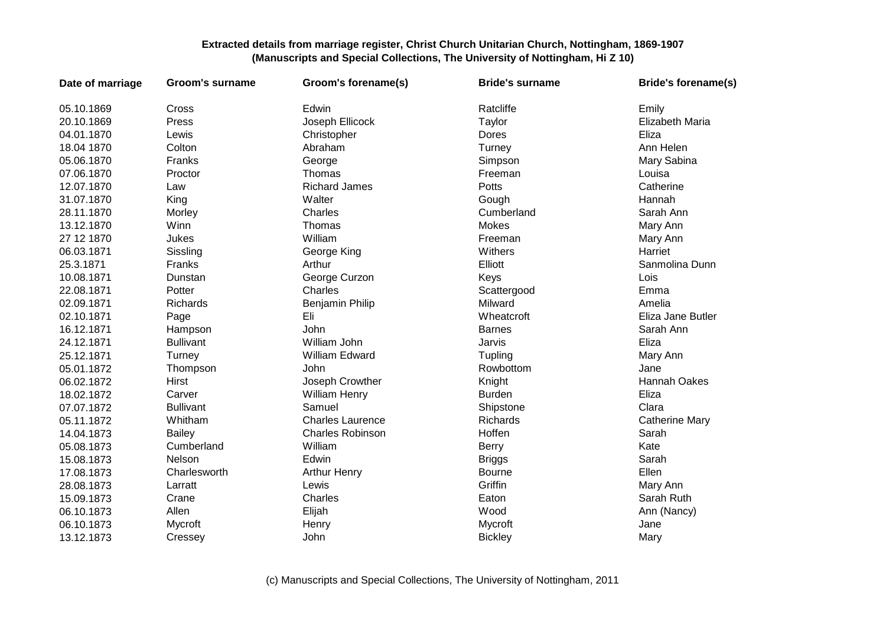| Date of marriage | <b>Groom's surname</b> | Groom's forename(s)     | <b>Bride's surname</b> | <b>Bride's forename(s)</b> |
|------------------|------------------------|-------------------------|------------------------|----------------------------|
| 05.10.1869       | Cross                  | Edwin                   | Ratcliffe              | Emily                      |
| 20.10.1869       | Press                  | Joseph Ellicock         | Taylor                 | Elizabeth Maria            |
| 04.01.1870       | Lewis                  | Christopher             | Dores                  | Eliza                      |
| 18.04 1870       | Colton                 | Abraham                 | Turney                 | Ann Helen                  |
| 05.06.1870       | Franks                 | George                  | Simpson                | Mary Sabina                |
| 07.06.1870       | Proctor                | Thomas                  | Freeman                | Louisa                     |
| 12.07.1870       | Law                    | <b>Richard James</b>    | Potts                  | Catherine                  |
| 31.07.1870       | King                   | Walter                  | Gough                  | Hannah                     |
| 28.11.1870       | Morley                 | Charles                 | Cumberland             | Sarah Ann                  |
| 13.12.1870       | Winn                   | Thomas                  | Mokes                  | Mary Ann                   |
| 27 12 1870       | Jukes                  | William                 | Freeman                | Mary Ann                   |
| 06.03.1871       | Sissling               | George King             | Withers                | Harriet                    |
| 25.3.1871        | Franks                 | Arthur                  | Elliott                | Sanmolina Dunn             |
| 10.08.1871       | Dunstan                | George Curzon           | Keys                   | Lois                       |
| 22.08.1871       | Potter                 | Charles                 | Scattergood            | Emma                       |
| 02.09.1871       | Richards               | Benjamin Philip         | Milward                | Amelia                     |
| 02.10.1871       | Page                   | Eli                     | Wheatcroft             | Eliza Jane Butler          |
| 16.12.1871       | Hampson                | John                    | <b>Barnes</b>          | Sarah Ann                  |
| 24.12.1871       | <b>Bullivant</b>       | William John            | Jarvis                 | Eliza                      |
| 25.12.1871       | Turney                 | William Edward          | Tupling                | Mary Ann                   |
| 05.01.1872       | Thompson               | John                    | Rowbottom              | Jane                       |
| 06.02.1872       | Hirst                  | Joseph Crowther         | Knight                 | Hannah Oakes               |
| 18.02.1872       | Carver                 | <b>William Henry</b>    | <b>Burden</b>          | Eliza                      |
| 07.07.1872       | <b>Bullivant</b>       | Samuel                  | Shipstone              | Clara                      |
| 05.11.1872       | Whitham                | <b>Charles Laurence</b> | Richards               | <b>Catherine Mary</b>      |
| 14.04.1873       | <b>Bailey</b>          | <b>Charles Robinson</b> | Hoffen                 | Sarah                      |
| 05.08.1873       | Cumberland             | William                 | <b>Berry</b>           | Kate                       |
| 15.08.1873       | Nelson                 | Edwin                   | <b>Briggs</b>          | Sarah                      |
| 17.08.1873       | Charlesworth           | <b>Arthur Henry</b>     | Bourne                 | Ellen                      |
| 28.08.1873       | Larratt                | Lewis                   | Griffin                | Mary Ann                   |
| 15.09.1873       | Crane                  | Charles                 | Eaton                  | Sarah Ruth                 |
| 06.10.1873       | Allen                  | Elijah                  | Wood                   | Ann (Nancy)                |
| 06.10.1873       | Mycroft                | Henry                   | Mycroft                | Jane                       |
| 13.12.1873       | Cressey                | John                    | <b>Bickley</b>         | Mary                       |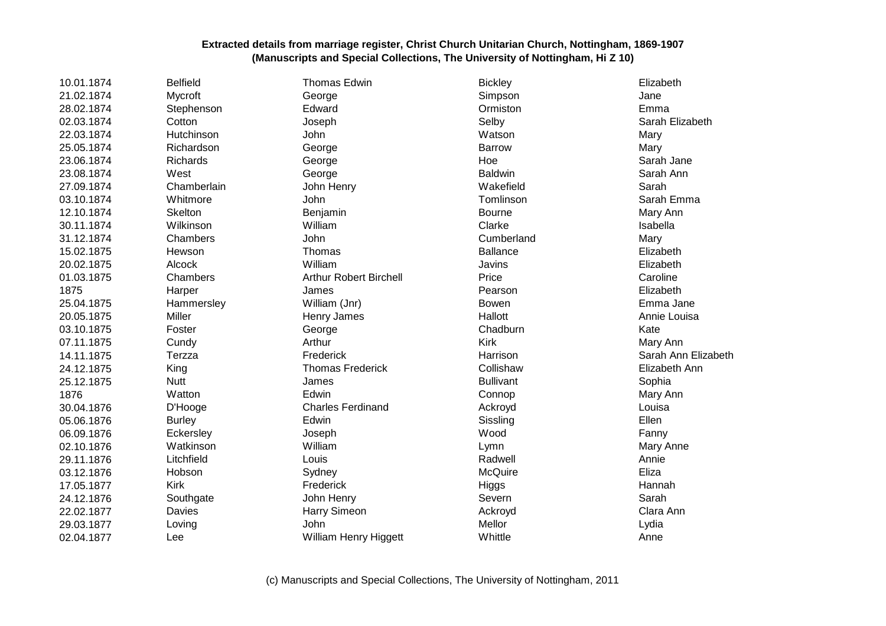| 10.01.1874 | <b>Belfield</b> | <b>Thomas Edwin</b>           | <b>Bickley</b>   | Elizabeth           |
|------------|-----------------|-------------------------------|------------------|---------------------|
| 21.02.1874 | Mycroft         | George                        | Simpson          | Jane                |
| 28.02.1874 | Stephenson      | Edward                        | Ormiston         | Emma                |
| 02.03.1874 | Cotton          | Joseph                        | Selby            | Sarah Elizabeth     |
| 22.03.1874 | Hutchinson      | John                          | Watson           | Mary                |
| 25.05.1874 | Richardson      | George                        | <b>Barrow</b>    | Mary                |
| 23.06.1874 | Richards        | George                        | Hoe              | Sarah Jane          |
| 23.08.1874 | West            | George                        | <b>Baldwin</b>   | Sarah Ann           |
| 27.09.1874 | Chamberlain     | John Henry                    | Wakefield        | Sarah               |
| 03.10.1874 | Whitmore        | <b>John</b>                   | Tomlinson        | Sarah Emma          |
| 12.10.1874 | Skelton         | Benjamin                      | Bourne           | Mary Ann            |
| 30.11.1874 | Wilkinson       | William                       | Clarke           | Isabella            |
| 31.12.1874 | Chambers        | John                          | Cumberland       | Mary                |
| 15.02.1875 | Hewson          | Thomas                        | <b>Ballance</b>  | Elizabeth           |
| 20.02.1875 | Alcock          | William                       | Javins           | Elizabeth           |
| 01.03.1875 | Chambers        | <b>Arthur Robert Birchell</b> | Price            | Caroline            |
| 1875       | Harper          | James                         | Pearson          | Elizabeth           |
| 25.04.1875 | Hammersley      | William (Jnr)                 | <b>Bowen</b>     | Emma Jane           |
| 20.05.1875 | Miller          | Henry James                   | Hallott          | Annie Louisa        |
| 03.10.1875 | Foster          | George                        | Chadburn         | Kate                |
| 07.11.1875 | Cundy           | Arthur                        | Kirk             | Mary Ann            |
| 14.11.1875 | Terzza          | Frederick                     | Harrison         | Sarah Ann Elizabeth |
| 24.12.1875 | King            | <b>Thomas Frederick</b>       | Collishaw        | Elizabeth Ann       |
| 25.12.1875 | <b>Nutt</b>     | James                         | <b>Bullivant</b> | Sophia              |
| 1876       | Watton          | Edwin                         | Connop           | Mary Ann            |
| 30.04.1876 | D'Hooge         | <b>Charles Ferdinand</b>      | Ackroyd          | Louisa              |
| 05.06.1876 | <b>Burley</b>   | Edwin                         | Sissling         | Ellen               |
| 06.09.1876 | Eckersley       | Joseph                        | Wood             | Fanny               |
| 02.10.1876 | Watkinson       | William                       | Lymn             | Mary Anne           |
| 29.11.1876 | Litchfield      | Louis                         | Radwell          | Annie               |
| 03.12.1876 | Hobson          | Sydney                        | McQuire          | Eliza               |
| 17.05.1877 | <b>Kirk</b>     | Frederick                     | Higgs            | Hannah              |
| 24.12.1876 | Southgate       | John Henry                    | Severn           | Sarah               |
| 22.02.1877 | Davies          | Harry Simeon                  | Ackroyd          | Clara Ann           |
| 29.03.1877 | Loving          | John                          | Mellor           | Lydia               |
| 02.04.1877 | Lee             | William Henry Higgett         | Whittle          | Anne                |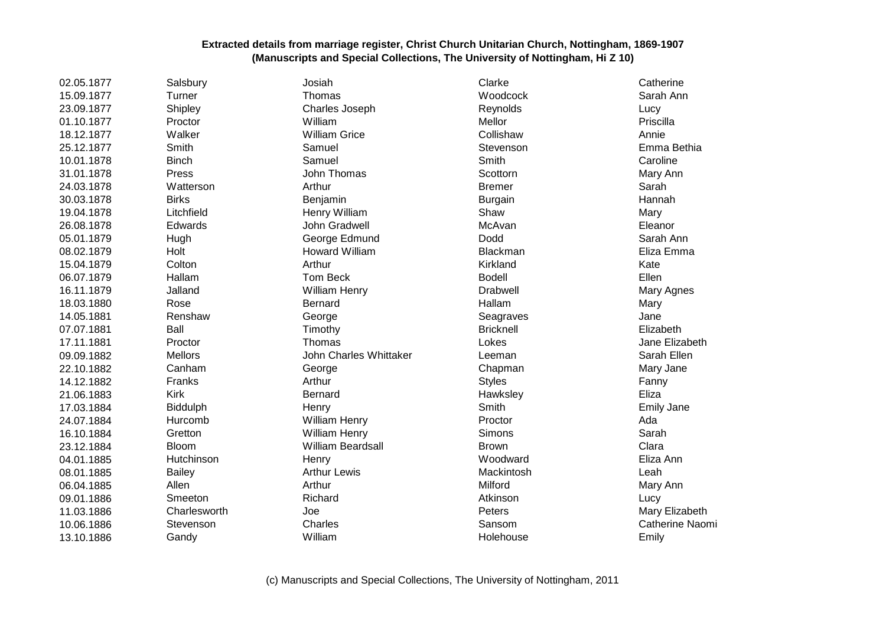| 02.05.1877 | Salsbury       | Josiah                   | Clarke           | Catherine         |
|------------|----------------|--------------------------|------------------|-------------------|
| 15.09.1877 | Turner         | Thomas                   | Woodcock         | Sarah Ann         |
| 23.09.1877 | Shipley        | Charles Joseph           | Reynolds         | Lucy              |
| 01.10.1877 | Proctor        | William                  | Mellor           | Priscilla         |
| 18.12.1877 | Walker         | <b>William Grice</b>     | Collishaw        | Annie             |
| 25.12.1877 | Smith          | Samuel                   | Stevenson        | Emma Bethia       |
| 10.01.1878 | <b>Binch</b>   | Samuel                   | Smith            | Caroline          |
| 31.01.1878 | Press          | John Thomas              | Scottorn         | Mary Ann          |
| 24.03.1878 | Watterson      | Arthur                   | <b>Bremer</b>    | Sarah             |
| 30.03.1878 | <b>Birks</b>   | Benjamin                 | <b>Burgain</b>   | Hannah            |
| 19.04.1878 | Litchfield     | Henry William            | Shaw             | Mary              |
| 26.08.1878 | Edwards        | John Gradwell            | McAvan           | Eleanor           |
| 05.01.1879 | Hugh           | George Edmund            | Dodd             | Sarah Ann         |
| 08.02.1879 | Holt           | Howard William           | Blackman         | Eliza Emma        |
| 15.04.1879 | Colton         | Arthur                   | Kirkland         | Kate              |
| 06.07.1879 | Hallam         | <b>Tom Beck</b>          | <b>Bodell</b>    | Ellen             |
| 16.11.1879 | Jalland        | William Henry            | <b>Drabwell</b>  | Mary Agnes        |
| 18.03.1880 | Rose           | Bernard                  | Hallam           | Mary              |
| 14.05.1881 | Renshaw        | George                   | Seagraves        | Jane              |
| 07.07.1881 | Ball           | Timothy                  | <b>Bricknell</b> | Elizabeth         |
| 17.11.1881 | Proctor        | Thomas                   | Lokes            | Jane Elizabeth    |
| 09.09.1882 | <b>Mellors</b> | John Charles Whittaker   | Leeman           | Sarah Ellen       |
| 22.10.1882 | Canham         | George                   | Chapman          | Mary Jane         |
| 14.12.1882 | Franks         | Arthur                   | <b>Styles</b>    | Fanny             |
| 21.06.1883 | <b>Kirk</b>    | Bernard                  | Hawksley         | Eliza             |
| 17.03.1884 | Biddulph       | Henry                    | Smith            | <b>Emily Jane</b> |
| 24.07.1884 | Hurcomb        | William Henry            | Proctor          | Ada               |
| 16.10.1884 | Gretton        | <b>William Henry</b>     | Simons           | Sarah             |
| 23.12.1884 | <b>Bloom</b>   | <b>William Beardsall</b> | <b>Brown</b>     | Clara             |
| 04.01.1885 | Hutchinson     | Henry                    | Woodward         | Eliza Ann         |
| 08.01.1885 | <b>Bailey</b>  | <b>Arthur Lewis</b>      | Mackintosh       | Leah              |
| 06.04.1885 | Allen          | Arthur                   | Milford          | Mary Ann          |
| 09.01.1886 | Smeeton        | Richard                  | Atkinson         | Lucy              |
| 11.03.1886 | Charlesworth   | Joe                      | Peters           | Mary Elizabeth    |
| 10.06.1886 | Stevenson      | Charles                  | Sansom           | Catherine Naomi   |
| 13.10.1886 | Gandy          | William                  | Holehouse        | Emily             |
|            |                |                          |                  |                   |